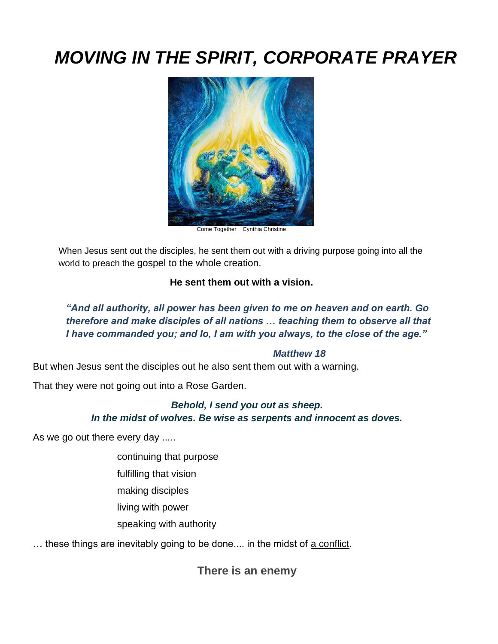# *MOVING IN THE SPIRIT, CORPORATE PRAYER*



Come Together Cynthia Christine

When Jesus sent out the disciples, he sent them out with a driving purpose going into all the world to preach the gospel to the whole creation.

#### **He sent them out with a vision.**

*"And all authority, all power has been given to me on heaven and on earth. Go therefore and make disciples of all nations … teaching them to observe all that I have commanded you; and lo, I am with you always, to the close of the age."* 

#### *Matthew 18*

But when Jesus sent the disciples out he also sent them out with a warning.

That they were not going out into a Rose Garden.

#### *Behold, I send you out as sheep. In the midst of wolves. Be wise as serpents and innocent as doves.*

As we go out there every day .....

- continuing that purpose
- fulfilling that vision
- making disciples
- living with power
- speaking with authority

... these things are inevitably going to be done.... in the midst of a conflict.

**There is an enemy**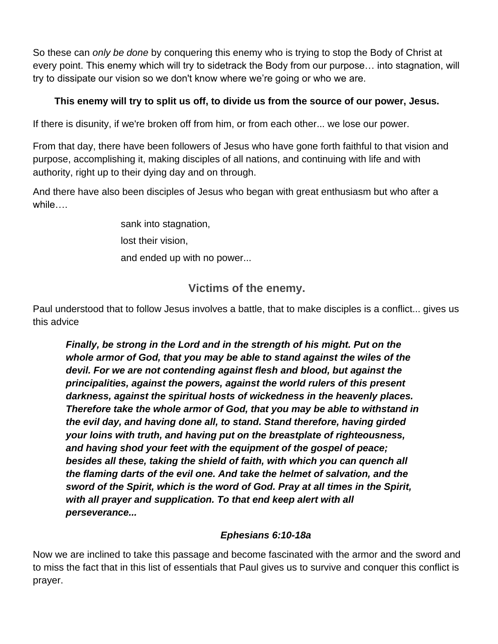So these can *only be done* by conquering this enemy who is trying to stop the Body of Christ at every point. This enemy which will try to sidetrack the Body from our purpose… into stagnation, will try to dissipate our vision so we don't know where we're going or who we are.

### **This enemy will try to split us off, to divide us from the source of our power, Jesus.**

If there is disunity, if we're broken off from him, or from each other... we lose our power.

From that day, there have been followers of Jesus who have gone forth faithful to that vision and purpose, accomplishing it, making disciples of all nations, and continuing with life and with authority, right up to their dying day and on through.

And there have also been disciples of Jesus who began with great enthusiasm but who after a while….

> sank into stagnation, lost their vision, and ended up with no power...

### **Victims of the enemy.**

Paul understood that to follow Jesus involves a battle, that to make disciples is a conflict... gives us this advice

*Finally, be strong in the Lord and in the strength of his might. Put on the whole armor of God, that you may be able to stand against the wiles of the devil. For we are not contending against flesh and blood, but against the principalities, against the powers, against the world rulers of this present darkness, against the spiritual hosts of wickedness in the heavenly places. Therefore take the whole armor of God, that you may be able to withstand in the evil day, and having done all, to stand. Stand therefore, having girded your loins with truth, and having put on the breastplate of righteousness, and having shod your feet with the equipment of the gospel of peace; besides all these, taking the shield of faith, with which you can quench all the flaming darts of the evil one. And take the helmet of salvation, and the sword of the Spirit, which is the word of God. Pray at all times in the Spirit, with all prayer and supplication. To that end keep alert with all perseverance...*

### *Ephesians 6:10-18a*

Now we are inclined to take this passage and become fascinated with the armor and the sword and to miss the fact that in this list of essentials that Paul gives us to survive and conquer this conflict is prayer.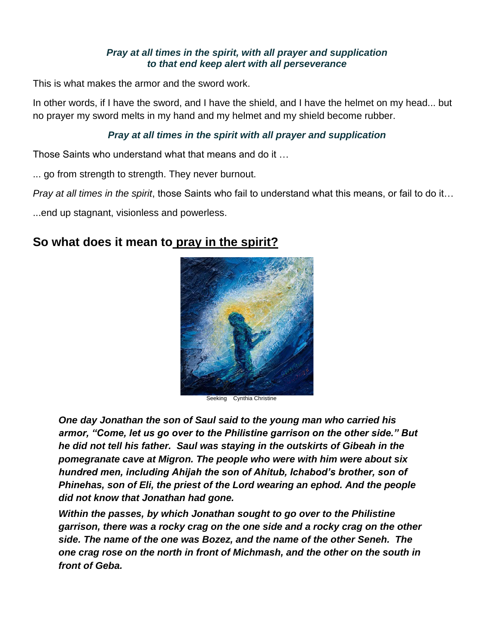#### *Pray at all times in the spirit, with all prayer and supplication to that end keep alert with all perseverance*

This is what makes the armor and the sword work.

In other words, if I have the sword, and I have the shield, and I have the helmet on my head... but no prayer my sword melts in my hand and my helmet and my shield become rubber.

#### *Pray at all times in the spirit with all prayer and supplication*

Those Saints who understand what that means and do it …

... go from strength to strength. They never burnout.

*Pray at all times in the spirit*, those Saints who fail to understand what this means, or fail to do it…

...end up stagnant, visionless and powerless.

### **So what does it mean to pray in the spirit?**



Seeking Cynthia Christine

*One day Jonathan the son of Saul said to the young man who carried his armor, "Come, let us go over to the Philistine garrison on the other side." But he did not tell his father. Saul was staying in the outskirts of Gibeah in the pomegranate cave at Migron. The people who were with him were about six hundred men, including Ahijah the son of Ahitub, Ichabod's brother, son of Phinehas, son of Eli, the priest of the Lord wearing an ephod. And the people did not know that Jonathan had gone.* 

*Within the passes, by which Jonathan sought to go over to the Philistine garrison, there was a rocky crag on the one side and a rocky crag on the other side. The name of the one was Bozez, and the name of the other Seneh. The one crag rose on the north in front of Michmash, and the other on the south in front of Geba.*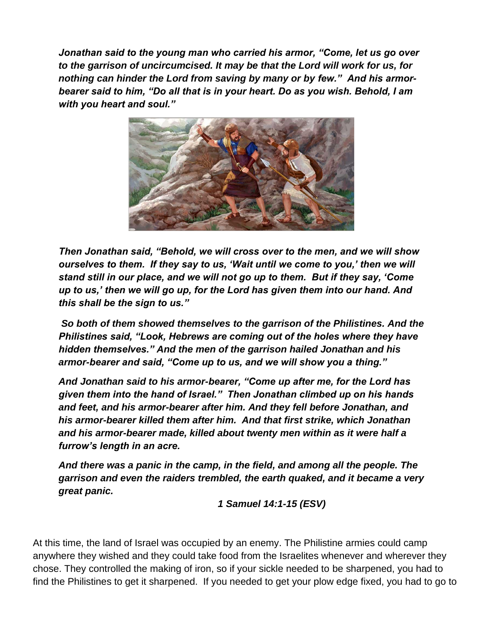*Jonathan said to the young man who carried his armor, "Come, let us go over to the garrison of uncircumcised. It may be that the Lord will work for us, for nothing can hinder the Lord from saving by many or by few." And his armorbearer said to him, "Do all that is in your heart. Do as you wish. Behold, I am with you heart and soul."* 



*Then Jonathan said, "Behold, we will cross over to the men, and we will show ourselves to them. If they say to us, 'Wait until we come to you,' then we will stand still in our place, and we will not go up to them. But if they say, 'Come up to us,' then we will go up, for the Lord has given them into our hand. And this shall be the sign to us."* 

*So both of them showed themselves to the garrison of the Philistines. And the Philistines said, "Look, Hebrews are coming out of the holes where they have hidden themselves." And the men of the garrison hailed Jonathan and his armor-bearer and said, "Come up to us, and we will show you a thing."* 

*And Jonathan said to his armor-bearer, "Come up after me, for the Lord has given them into the hand of Israel." Then Jonathan climbed up on his hands and feet, and his armor-bearer after him. And they fell before Jonathan, and his armor-bearer killed them after him. And that first strike, which Jonathan and his armor-bearer made, killed about twenty men within as it were half a furrow's length in an acre.* 

*And there was a panic in the camp, in the field, and among all the people. The garrison and even the raiders trembled, the earth quaked, and it became a very great panic.*

*1 Samuel 14:1-15 (ESV)*

At this time, the land of Israel was occupied by an enemy. The Philistine armies could camp anywhere they wished and they could take food from the Israelites whenever and wherever they chose. They controlled the making of iron, so if your sickle needed to be sharpened, you had to find the Philistines to get it sharpened. If you needed to get your plow edge fixed, you had to go to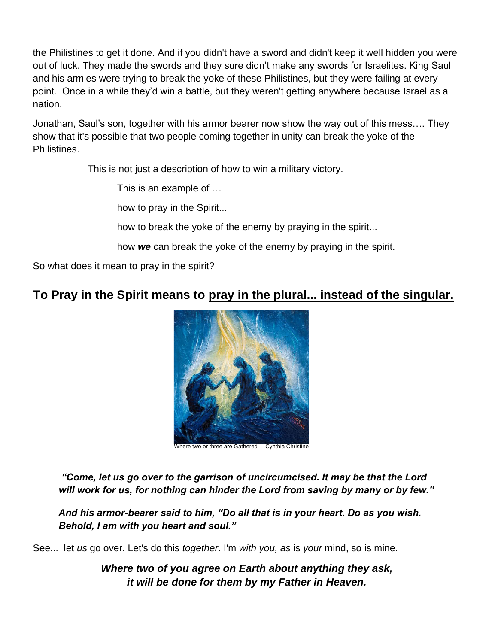the Philistines to get it done. And if you didn't have a sword and didn't keep it well hidden you were out of luck. They made the swords and they sure didn't make any swords for Israelites. King Saul and his armies were trying to break the yoke of these Philistines, but they were failing at every point. Once in a while they'd win a battle, but they weren't getting anywhere because Israel as a nation.

Jonathan, Saul's son, together with his armor bearer now show the way out of this mess…. They show that it's possible that two people coming together in unity can break the yoke of the Philistines.

This is not just a description of how to win a military victory.

This is an example of …

how to pray in the Spirit...

how to break the yoke of the enemy by praying in the spirit...

how *we* can break the yoke of the enemy by praying in the spirit.

So what does it mean to pray in the spirit?

## **To Pray in the Spirit means to pray in the plural... instead of the singular.**



Where two or three are Gathered Cynthia Christine

*"Come, let us go over to the garrison of uncircumcised. It may be that the Lord will work for us, for nothing can hinder the Lord from saving by many or by few."* 

*And his armor-bearer said to him, "Do all that is in your heart. Do as you wish. Behold, I am with you heart and soul."* 

See... let *us* go over. Let's do this *together*. I'm *with you, as* is *your* mind, so is mine.

*Where two of you agree on Earth about anything they ask, it will be done for them by my Father in Heaven.*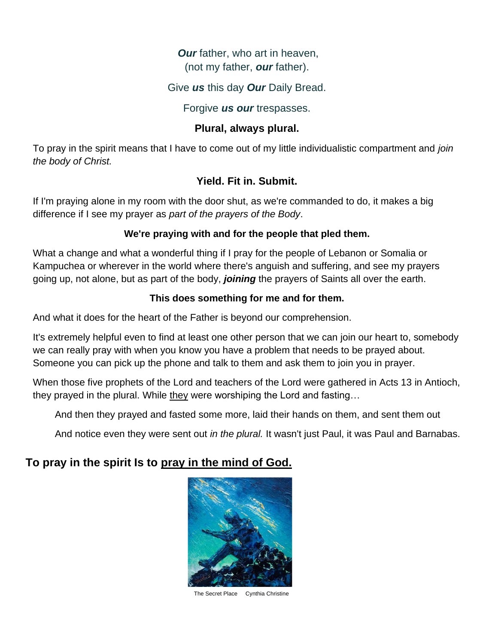### *Our* father, who art in heaven, (not my father, *our* father).

### Give *us* this day *Our* Daily Bread.

#### Forgive *us our* trespasses.

#### **Plural, always plural.**

To pray in the spirit means that I have to come out of my little individualistic compartment and *join the body of Christ.*

### **Yield. Fit in. Submit.**

If I'm praying alone in my room with the door shut, as we're commanded to do, it makes a big difference if I see my prayer as *part of the prayers of the Body*.

#### **We're praying with and for the people that pled them.**

What a change and what a wonderful thing if I pray for the people of Lebanon or Somalia or Kampuchea or wherever in the world where there's anguish and suffering, and see my prayers going up, not alone, but as part of the body, *joining* the prayers of Saints all over the earth.

#### **This does something for me and for them.**

And what it does for the heart of the Father is beyond our comprehension.

It's extremely helpful even to find at least one other person that we can join our heart to, somebody we can really pray with when you know you have a problem that needs to be prayed about. Someone you can pick up the phone and talk to them and ask them to join you in prayer.

When those five prophets of the Lord and teachers of the Lord were gathered in Acts 13 in Antioch, they prayed in the plural. While they were worshiping the Lord and fasting...

And then they prayed and fasted some more, laid their hands on them, and sent them out

And notice even they were sent out *in the plural.* It wasn't just Paul, it was Paul and Barnabas.

### **To pray in the spirit Is to pray in the mind of God.**



The Secret Place Cynthia Christine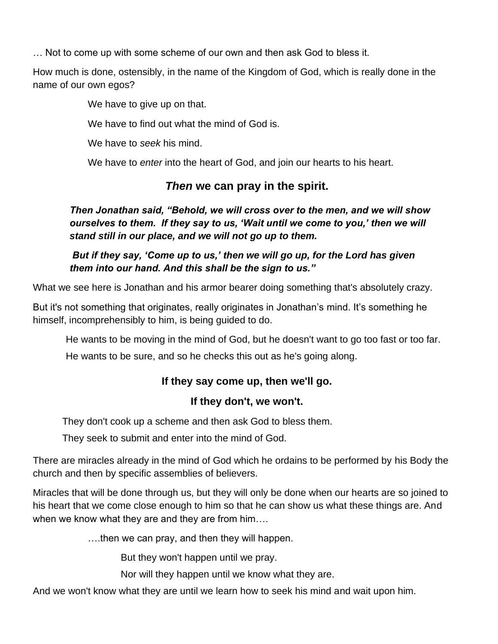… Not to come up with some scheme of our own and then ask God to bless it.

How much is done, ostensibly, in the name of the Kingdom of God, which is really done in the name of our own egos?

We have to give up on that.

We have to find out what the mind of God is.

We have to *seek* his mind.

We have to *enter* into the heart of God, and join our hearts to his heart.

### *Then* **we can pray in the spirit.**

*Then Jonathan said, "Behold, we will cross over to the men, and we will show ourselves to them. If they say to us, 'Wait until we come to you,' then we will stand still in our place, and we will not go up to them.* 

*But if they say, 'Come up to us,' then we will go up, for the Lord has given them into our hand. And this shall be the sign to us."* 

What we see here is Jonathan and his armor bearer doing something that's absolutely crazy.

But it's not something that originates, really originates in Jonathan's mind. It's something he himself, incomprehensibly to him, is being guided to do.

He wants to be moving in the mind of God, but he doesn't want to go too fast or too far.

He wants to be sure, and so he checks this out as he's going along.

### **If they say come up, then we'll go.**

### **If they don't, we won't.**

They don't cook up a scheme and then ask God to bless them.

They seek to submit and enter into the mind of God.

There are miracles already in the mind of God which he ordains to be performed by his Body the church and then by specific assemblies of believers.

Miracles that will be done through us, but they will only be done when our hearts are so joined to his heart that we come close enough to him so that he can show us what these things are. And when we know what they are and they are from him….

….then we can pray, and then they will happen.

But they won't happen until we pray.

Nor will they happen until we know what they are.

And we won't know what they are until we learn how to seek his mind and wait upon him.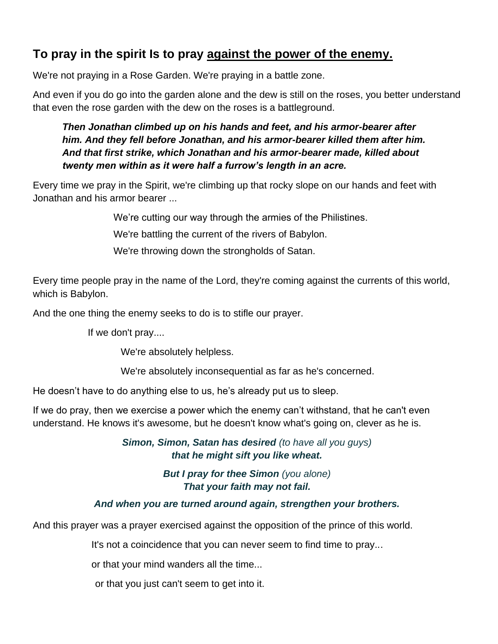# **To pray in the spirit Is to pray against the power of the enemy.**

We're not praying in a Rose Garden. We're praying in a battle zone.

And even if you do go into the garden alone and the dew is still on the roses, you better understand that even the rose garden with the dew on the roses is a battleground.

*Then Jonathan climbed up on his hands and feet, and his armor-bearer after him. And they fell before Jonathan, and his armor-bearer killed them after him. And that first strike, which Jonathan and his armor-bearer made, killed about twenty men within as it were half a furrow's length in an acre.*

Every time we pray in the Spirit, we're climbing up that rocky slope on our hands and feet with Jonathan and his armor bearer ...

We're cutting our way through the armies of the Philistines.

We're battling the current of the rivers of Babylon.

We're throwing down the strongholds of Satan.

Every time people pray in the name of the Lord, they're coming against the currents of this world, which is Babylon.

And the one thing the enemy seeks to do is to stifle our prayer.

If we don't pray....

We're absolutely helpless.

We're absolutely inconsequential as far as he's concerned.

He doesn't have to do anything else to us, he's already put us to sleep.

If we do pray, then we exercise a power which the enemy can't withstand, that he can't even understand. He knows it's awesome, but he doesn't know what's going on, clever as he is.

> *Simon, Simon, Satan has desired (to have all you guys) that he might sift you like wheat.*

> > *But I pray for thee Simon (you alone) That your faith may not fail.*

#### *And when you are turned around again, strengthen your brothers.*

And this prayer was a prayer exercised against the opposition of the prince of this world.

It's not a coincidence that you can never seem to find time to pray...

or that your mind wanders all the time...

or that you just can't seem to get into it.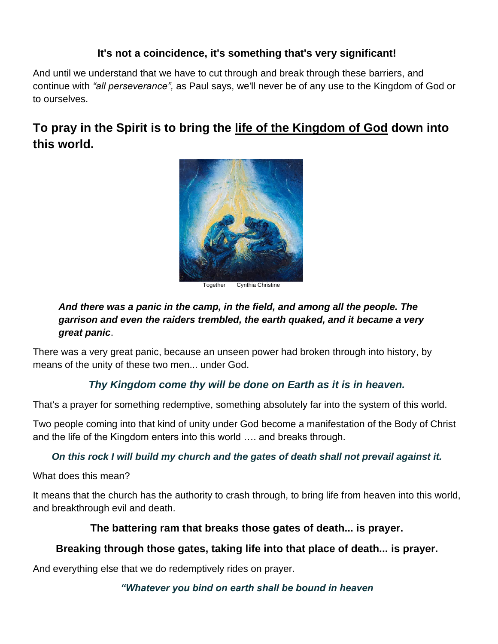### **It's not a coincidence, it's something that's very significant!**

And until we understand that we have to cut through and break through these barriers, and continue with *"all perseverance",* as Paul says, we'll never be of any use to the Kingdom of God or to ourselves.

# **To pray in the Spirit is to bring the life of the Kingdom of God down into this world.**



Together Cynthia Christine

### *And there was a panic in the camp, in the field, and among all the people. The garrison and even the raiders trembled, the earth quaked, and it became a very great panic*.

There was a very great panic, because an unseen power had broken through into history, by means of the unity of these two men... under God.

### *Thy Kingdom come thy will be done on Earth as it is in heaven.*

That's a prayer for something redemptive, something absolutely far into the system of this world.

Two people coming into that kind of unity under God become a manifestation of the Body of Christ and the life of the Kingdom enters into this world …. and breaks through.

### *On this rock I will build my church and the gates of death shall not prevail against it.*

What does this mean?

It means that the church has the authority to crash through, to bring life from heaven into this world, and breakthrough evil and death.

### **The battering ram that breaks those gates of death... is prayer.**

### **Breaking through those gates, taking life into that place of death... is prayer.**

And everything else that we do redemptively rides on prayer.

### *"Whatever you bind on earth shall be bound in heaven*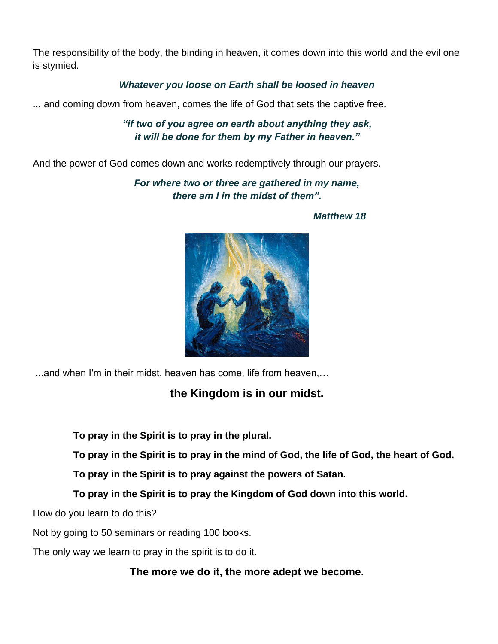The responsibility of the body, the binding in heaven, it comes down into this world and the evil one is stymied.

#### *Whatever you loose on Earth shall be loosed in heaven*

... and coming down from heaven, comes the life of God that sets the captive free.

### *"if two of you agree on earth about anything they ask, it will be done for them by my Father in heaven."*

And the power of God comes down and works redemptively through our prayers.

*For where two or three are gathered in my name, there am I in the midst of them".* 



*Matthew 18*

...and when I'm in their midst, heaven has come, life from heaven,…

# **the Kingdom is in our midst.**

**To pray in the Spirit is to pray in the plural.**

**To pray in the Spirit is to pray in the mind of God, the life of God, the heart of God.**

**To pray in the Spirit is to pray against the powers of Satan.**

**To pray in the Spirit is to pray the Kingdom of God down into this world.**

How do you learn to do this?

Not by going to 50 seminars or reading 100 books.

The only way we learn to pray in the spirit is to do it.

**The more we do it, the more adept we become.**